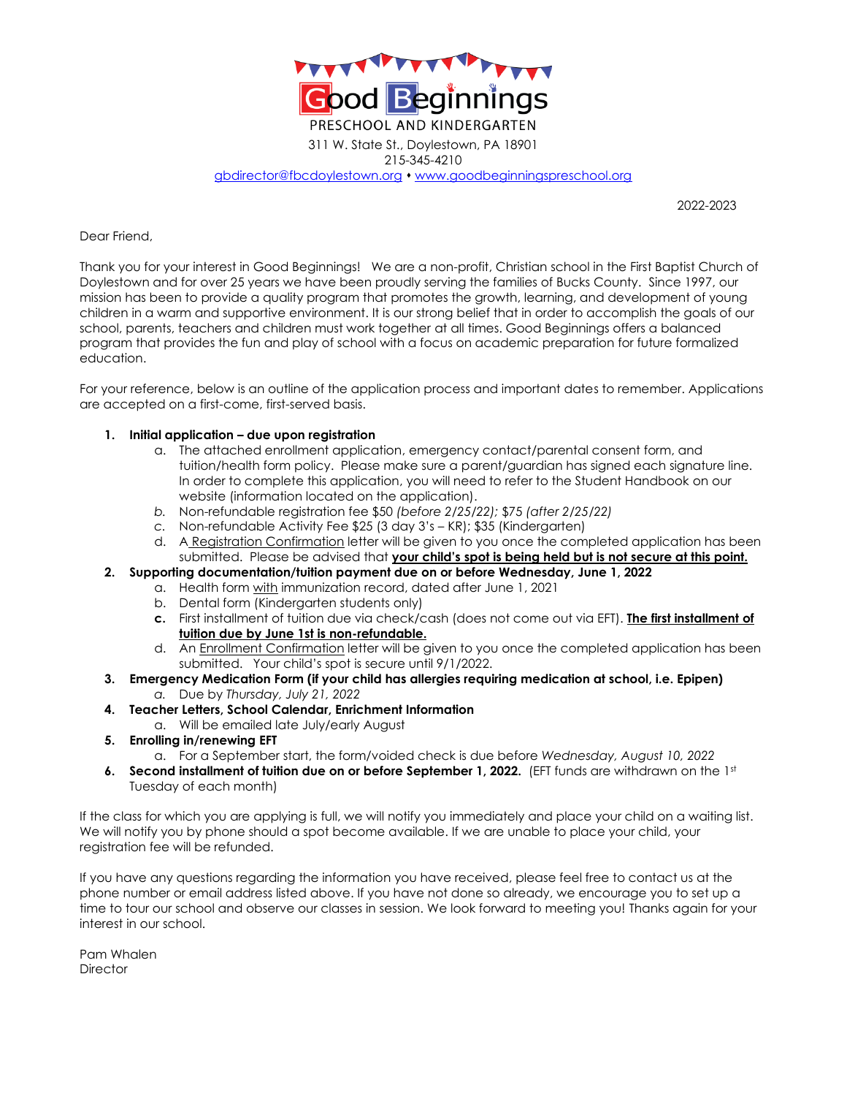

215-345-4210

[gbdirector@fbcdoylestown.org](mailto:gbdirector@fbcdoylestown.org) ⬧ [www.goodbeginningspreschool.org](http://www.goodbeginningspreschool.org/)

2022-2023

Dear Friend,

Thank you for your interest in Good Beginnings! We are a non-profit, Christian school in the First Baptist Church of Doylestown and for over 25 years we have been proudly serving the families of Bucks County. Since 1997, our mission has been to provide a quality program that promotes the growth, learning, and development of young children in a warm and supportive environment. It is our strong belief that in order to accomplish the goals of our school, parents, teachers and children must work together at all times. Good Beginnings offers a balanced program that provides the fun and play of school with a focus on academic preparation for future formalized education.

For your reference, below is an outline of the application process and important dates to remember. Applications are accepted on a first-come, first-served basis.

#### **1. Initial application – due upon registration**

- a. The attached enrollment application, emergency contact/parental consent form, and tuition/health form policy. Please make sure a parent/guardian has signed each signature line. In order to complete this application, you will need to refer to the Student Handbook on our website (information located on the application).
- *b.* Non-refundable registration fee \$50 *(before 2/25/22);* \$75 *(after 2/25/22)*
- *c.* Non-refundable Activity Fee \$25 (3 day 3's KR); \$35 (Kindergarten)
- d. A Registration Confirmation letter will be given to you once the completed application has been submitted. Please be advised that **your child's spot is being held but is not secure at this point.**
- **2. Supporting documentation/tuition payment due on or before Wednesday, June 1, 2022**
	- a. Health form with immunization record, dated after June 1, 2021
	- b. Dental form (Kindergarten students only)
	- **c.** First installment of tuition due via check/cash (does not come out via EFT). **The first installment of tuition due by June 1st is non-refundable.**
	- d. An Enrollment Confirmation letter will be given to you once the completed application has been submitted. Your child's spot is secure until 9/1/2022.
- **3. Emergency Medication Form (if your child has allergies requiring medication at school, i.e. Epipen)** *a.* Due by *Thursday, July 21, 2022*
- **4. Teacher Letters, School Calendar, Enrichment Information** 
	- a. Will be emailed late July/early August
- **5. Enrolling in/renewing EFT**
	- a. For a September start, the form/voided check is due before *Wednesday, August 10, 2022*
- **6. Second installment of tuition due on or before September 1, 2022.** (EFT funds are withdrawn on the 1st Tuesday of each month)

If the class for which you are applying is full, we will notify you immediately and place your child on a waiting list. We will notify you by phone should a spot become available. If we are unable to place your child, your registration fee will be refunded.

If you have any questions regarding the information you have received, please feel free to contact us at the phone number or email address listed above. If you have not done so already, we encourage you to set up a time to tour our school and observe our classes in session. We look forward to meeting you! Thanks again for your interest in our school.

Pam Whalen **Director**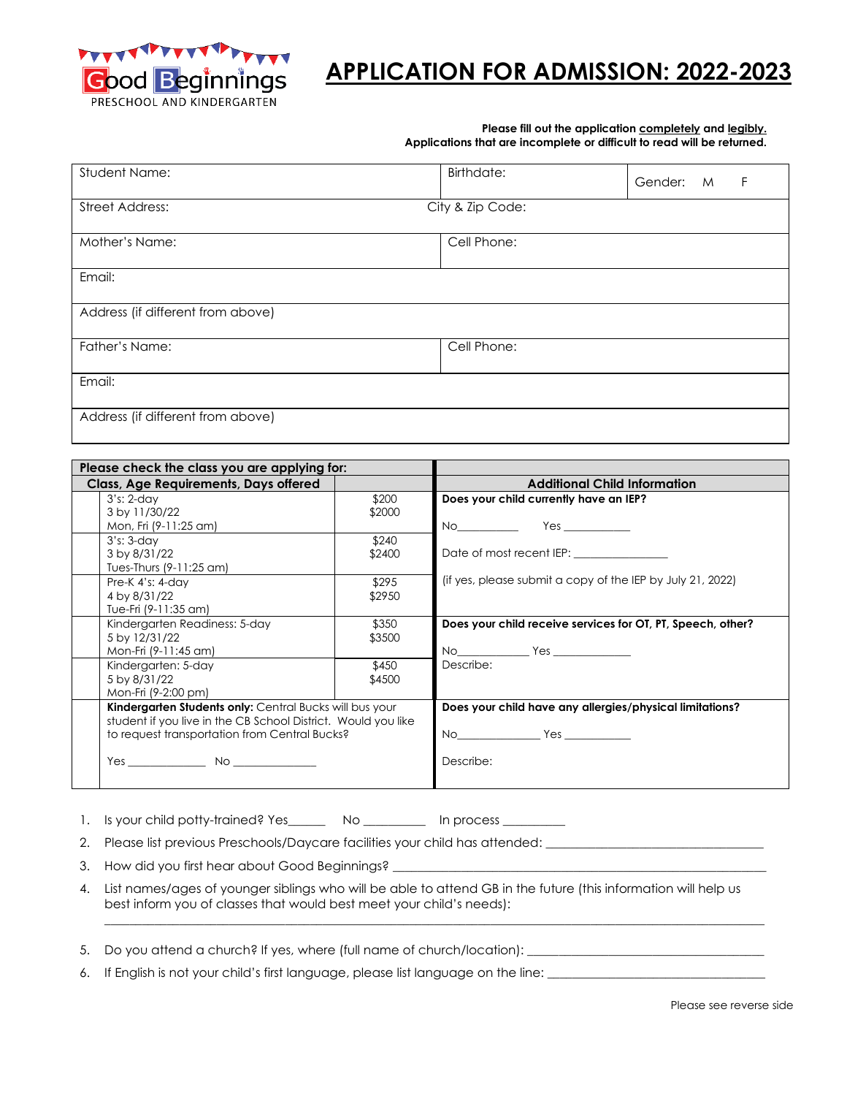

# **APPLICATION FOR ADMISSION: 2022-2023**

#### **Please fill out the application completely and legibly. Applications that are incomplete or difficult to read will be returned.**

| Student Name:                     | Birthdate:       | Gender: | M | F |
|-----------------------------------|------------------|---------|---|---|
| <b>Street Address:</b>            | City & Zip Code: |         |   |   |
| Mother's Name:                    | Cell Phone:      |         |   |   |
| Email:                            |                  |         |   |   |
| Address (if different from above) |                  |         |   |   |
| Father's Name:                    | Cell Phone:      |         |   |   |
| Email:                            |                  |         |   |   |
| Address (if different from above) |                  |         |   |   |

| Please check the class you are applying for:                                                                          |        |                                                              |  |
|-----------------------------------------------------------------------------------------------------------------------|--------|--------------------------------------------------------------|--|
| Class, Age Requirements, Days offered                                                                                 |        | <b>Additional Child Information</b>                          |  |
| $3's: 2-day$                                                                                                          | \$200  | Does your child currently have an IEP?                       |  |
| 3 by 11/30/22                                                                                                         | \$2000 |                                                              |  |
| Mon, Fri (9-11:25 am)                                                                                                 |        |                                                              |  |
| $3's: 3-day$                                                                                                          | \$240  |                                                              |  |
| 3 by 8/31/22                                                                                                          | \$2400 | Date of most recent IEP: <b>contract of most recent</b> IEP: |  |
| Tues-Thurs (9-11:25 am)                                                                                               |        |                                                              |  |
| Pre-K $4's: 4-day$                                                                                                    | \$295  | (if yes, please submit a copy of the IEP by July 21, 2022)   |  |
| 4 by 8/31/22                                                                                                          | \$2950 |                                                              |  |
| Tue-Fri (9-11:35 am)                                                                                                  |        |                                                              |  |
| Kindergarten Readiness: 5-day                                                                                         | \$350  | Does your child receive services for OT, PT, Speech, other?  |  |
| 5 by 12/31/22                                                                                                         | \$3500 |                                                              |  |
| Mon-Fri (9-11:45 am)                                                                                                  |        | $No$ $Yes$                                                   |  |
| Kindergarten: 5-day                                                                                                   | \$450  | Describe:                                                    |  |
| 5 by 8/31/22                                                                                                          | \$4500 |                                                              |  |
| Mon-Fri (9-2:00 pm)                                                                                                   |        |                                                              |  |
| Kindergarten Students only: Central Bucks will bus your                                                               |        | Does your child have any allergies/physical limitations?     |  |
| student if you live in the CB School District. Would you like                                                         |        |                                                              |  |
| to request transportation from Central Bucks?                                                                         |        |                                                              |  |
|                                                                                                                       |        |                                                              |  |
| <b>These States States States States States States States States States States States States States States States</b> |        | Describe:                                                    |  |
|                                                                                                                       |        |                                                              |  |
|                                                                                                                       |        |                                                              |  |

1. Is your child potty-trained? Yes\_\_\_\_\_\_\_\_ No \_\_\_\_\_\_\_\_\_\_ In process \_\_\_\_\_\_\_\_\_

2. Please list previous Preschools/Daycare facilities your child has attended: \_\_\_\_\_\_\_\_\_\_\_\_\_\_\_\_\_\_\_\_\_\_\_\_\_\_\_\_\_\_\_

3. How did you first hear about Good Beginnings? \_\_\_\_

4. List names/ages of younger siblings who will be able to attend GB in the future (this information will help us best inform you of classes that would best meet your child's needs):

 $\_$  , and the set of the set of the set of the set of the set of the set of the set of the set of the set of the set of the set of the set of the set of the set of the set of the set of the set of the set of the set of th

5. Do you attend a church? If yes, where (full name of church/location): \_\_\_\_\_\_\_\_\_\_\_\_\_\_\_\_\_\_\_\_\_\_\_\_\_\_\_\_\_\_\_\_\_\_\_\_\_\_

6. If English is not your child's first language, please list language on the line: \_\_\_\_\_\_\_\_\_\_\_\_\_\_\_\_\_\_\_\_\_\_\_\_\_\_\_\_\_

Please see reverse side